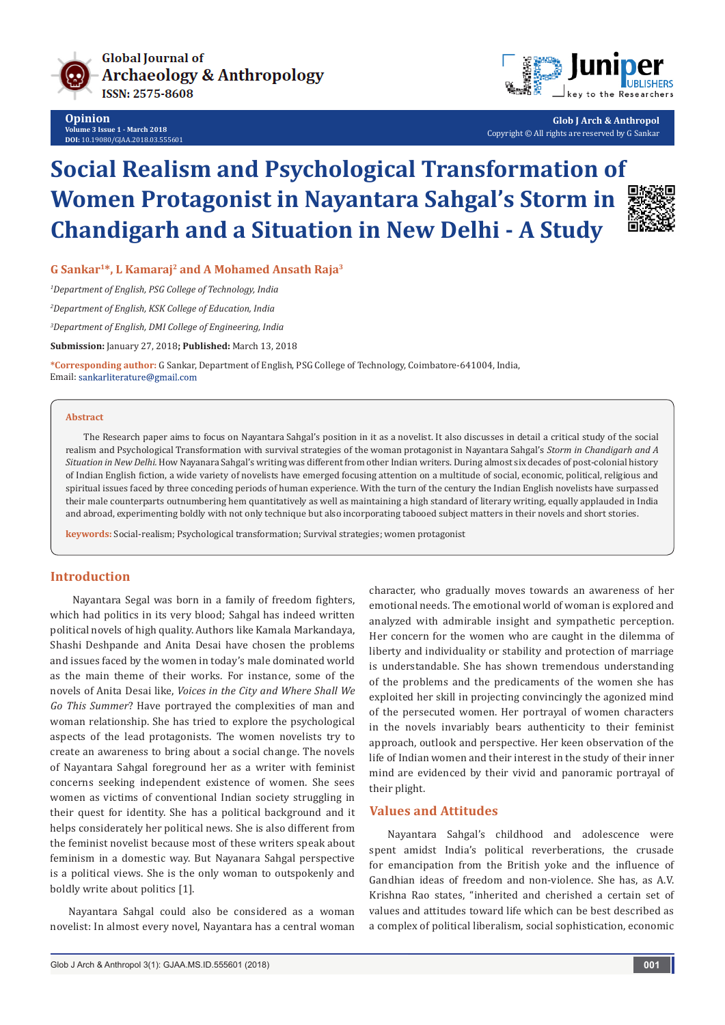



**Glob J Arch & Anthropol** Copyright © All rights are reserved by G Sankar

# **Social Realism and Psychological Transformation of Women Protagonist in Nayantara Sahgal's Storm in Chandigarh and a Situation in New Delhi - A Study**



**G Sankar1\*, L Kamaraj2 and A Mohamed Ansath Raja3**

*1 Department of English, PSG College of Technology, India*

*2 Department of English, KSK College of Education, India* 

*3 Department of English, DMI College of Engineering, India*

**Submission:** January 27, 2018**; Published:** March 13, 2018

**\*Corresponding author:** G Sankar, Department of English, PSG College of Technology, Coimbatore-641004, India, Email: sankarliterature@gmail.com

#### **Abstract**

The Research paper aims to focus on Nayantara Sahgal's position in it as a novelist. It also discusses in detail a critical study of the social realism and Psychological Transformation with survival strategies of the woman protagonist in Nayantara Sahgal's *Storm in Chandigarh and A Situation in New Delhi.* How Nayanara Sahgal's writing was different from other Indian writers. During almost six decades of post-colonial history of Indian English fiction, a wide variety of novelists have emerged focusing attention on a multitude of social, economic, political, religious and spiritual issues faced by three conceding periods of human experience. With the turn of the century the Indian English novelists have surpassed their male counterparts outnumbering hem quantitatively as well as maintaining a high standard of literary writing, equally applauded in India and abroad, experimenting boldly with not only technique but also incorporating tabooed subject matters in their novels and short stories.

**keywords:** Social-realism; Psychological transformation; Survival strategies; women protagonist

## **Introduction**

 Nayantara Segal was born in a family of freedom fighters, which had politics in its very blood; Sahgal has indeed written political novels of high quality. Authors like Kamala Markandaya, Shashi Deshpande and Anita Desai have chosen the problems and issues faced by the women in today's male dominated world as the main theme of their works. For instance, some of the novels of Anita Desai like, *Voices in the City and Where Shall We Go This Summer*? Have portrayed the complexities of man and woman relationship. She has tried to explore the psychological aspects of the lead protagonists. The women novelists try to create an awareness to bring about a social change. The novels of Nayantara Sahgal foreground her as a writer with feminist concerns seeking independent existence of women. She sees women as victims of conventional Indian society struggling in their quest for identity. She has a political background and it helps considerately her political news. She is also different from the feminist novelist because most of these writers speak about feminism in a domestic way. But Nayanara Sahgal perspective is a political views. She is the only woman to outspokenly and boldly write about politics [1].

Nayantara Sahgal could also be considered as a woman novelist: In almost every novel, Nayantara has a central woman character, who gradually moves towards an awareness of her emotional needs. The emotional world of woman is explored and analyzed with admirable insight and sympathetic perception. Her concern for the women who are caught in the dilemma of liberty and individuality or stability and protection of marriage is understandable. She has shown tremendous understanding of the problems and the predicaments of the women she has exploited her skill in projecting convincingly the agonized mind of the persecuted women. Her portrayal of women characters in the novels invariably bears authenticity to their feminist approach, outlook and perspective. Her keen observation of the life of Indian women and their interest in the study of their inner mind are evidenced by their vivid and panoramic portrayal of their plight.

#### **Values and Attitudes**

Nayantara Sahgal's childhood and adolescence were spent amidst India's political reverberations, the crusade for emancipation from the British yoke and the influence of Gandhian ideas of freedom and non-violence. She has, as A.V. Krishna Rao states, "inherited and cherished a certain set of values and attitudes toward life which can be best described as a complex of political liberalism, social sophistication, economic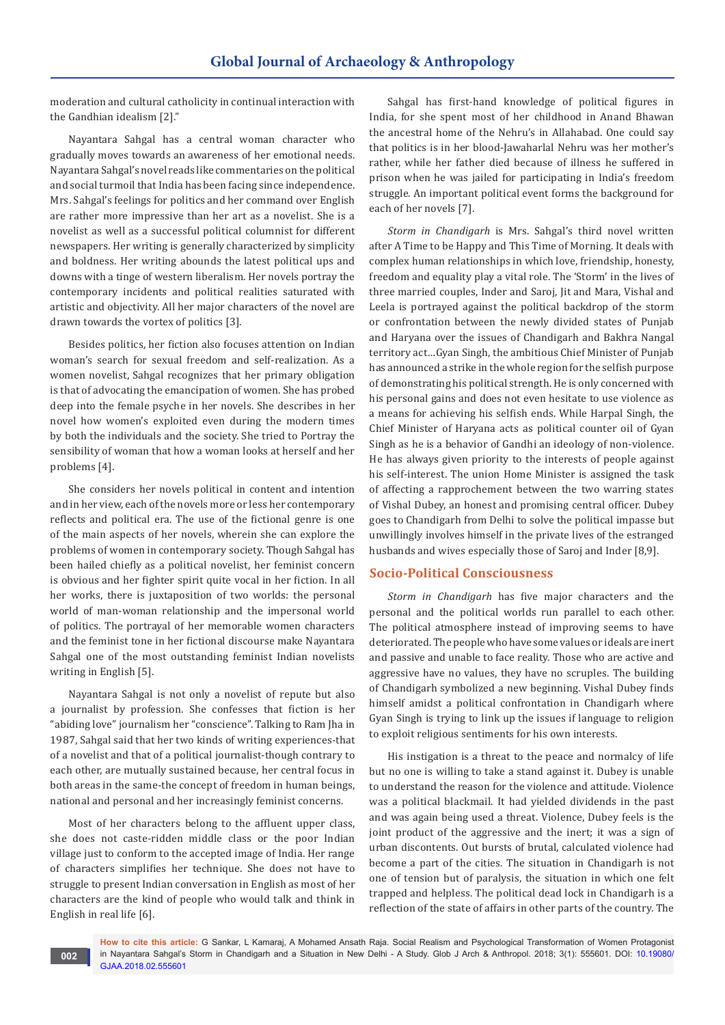moderation and cultural catholicity in continual interaction with the Gandhian idealism [2]."

Nayantara Sahgal has a central woman character who gradually moves towards an awareness of her emotional needs. Nayantara Sahgal's novel reads like commentaries on the political and social turmoil that India has been facing since independence. Mrs. Sahgal's feelings for politics and her command over English are rather more impressive than her art as a novelist. She is a novelist as well as a successful political columnist for different newspapers. Her writing is generally characterized by simplicity and boldness. Her writing abounds the latest political ups and downs with a tinge of western liberalism. Her novels portray the contemporary incidents and political realities saturated with artistic and objectivity. All her major characters of the novel are drawn towards the vortex of politics [3].

Besides politics, her fiction also focuses attention on Indian woman's search for sexual freedom and self-realization. As a women novelist, Sahgal recognizes that her primary obligation is that of advocating the emancipation of women. She has probed deep into the female psyche in her novels. She describes in her novel how women's exploited even during the modern times by both the individuals and the society. She tried to Portray the sensibility of woman that how a woman looks at herself and her problems [4].

She considers her novels political in content and intention and in her view, each of the novels more or less her contemporary reflects and political era. The use of the fictional genre is one of the main aspects of her novels, wherein she can explore the problems of women in contemporary society. Though Sahgal has been hailed chiefly as a political novelist, her feminist concern is obvious and her fighter spirit quite vocal in her fiction. In all her works, there is juxtaposition of two worlds: the personal world of man-woman relationship and the impersonal world of politics. The portrayal of her memorable women characters and the feminist tone in her fictional discourse make Nayantara Sahgal one of the most outstanding feminist Indian novelists writing in English [5].

Nayantara Sahgal is not only a novelist of repute but also a journalist by profession. She confesses that fiction is her "abiding love" journalism her "conscience". Talking to Ram Jha in 1987, Sahgal said that her two kinds of writing experiences-that of a novelist and that of a political journalist-though contrary to each other, are mutually sustained because, her central focus in both areas in the same-the concept of freedom in human beings, national and personal and her increasingly feminist concerns.

Most of her characters belong to the affluent upper class, she does not caste-ridden middle class or the poor Indian village just to conform to the accepted image of India. Her range of characters simplifies her technique. She does not have to struggle to present Indian conversation in English as most of her characters are the kind of people who would talk and think in English in real life [6].

Sahgal has first-hand knowledge of political figures in India, for she spent most of her childhood in Anand Bhawan the ancestral home of the Nehru's in Allahabad. One could say that politics is in her blood-Jawaharlal Nehru was her mother's rather, while her father died because of illness he suffered in prison when he was jailed for participating in India's freedom struggle. An important political event forms the background for each of her novels [7].

*Storm in Chandigarh* is Mrs. Sahgal's third novel written after A Time to be Happy and This Time of Morning. It deals with complex human relationships in which love, friendship, honesty, freedom and equality play a vital role. The 'Storm' in the lives of three married couples, Inder and Saroj, Jit and Mara, Vishal and Leela is portrayed against the political backdrop of the storm or confrontation between the newly divided states of Punjab and Haryana over the issues of Chandigarh and Bakhra Nangal territory act…Gyan Singh, the ambitious Chief Minister of Punjab has announced a strike in the whole region for the selfish purpose of demonstrating his political strength. He is only concerned with his personal gains and does not even hesitate to use violence as a means for achieving his selfish ends. While Harpal Singh, the Chief Minister of Haryana acts as political counter oil of Gyan Singh as he is a behavior of Gandhi an ideology of non-violence. He has always given priority to the interests of people against his self-interest. The union Home Minister is assigned the task of affecting a rapprochement between the two warring states of Vishal Dubey, an honest and promising central officer. Dubey goes to Chandigarh from Delhi to solve the political impasse but unwillingly involves himself in the private lives of the estranged husbands and wives especially those of Saroj and Inder [8,9].

# **Socio-Political Consciousness**

*Storm in Chandigarh* has five major characters and the personal and the political worlds run parallel to each other. The political atmosphere instead of improving seems to have deteriorated. The people who have some values or ideals are inert and passive and unable to face reality. Those who are active and aggressive have no values, they have no scruples. The building of Chandigarh symbolized a new beginning. Vishal Dubey finds himself amidst a political confrontation in Chandigarh where Gyan Singh is trying to link up the issues if language to religion to exploit religious sentiments for his own interests.

His instigation is a threat to the peace and normalcy of life but no one is willing to take a stand against it. Dubey is unable to understand the reason for the violence and attitude. Violence was a political blackmail. It had yielded dividends in the past and was again being used a threat. Violence, Dubey feels is the joint product of the aggressive and the inert; it was a sign of urban discontents. Out bursts of brutal, calculated violence had become a part of the cities. The situation in Chandigarh is not one of tension but of paralysis, the situation in which one felt trapped and helpless. The political dead lock in Chandigarh is a reflection of the state of affairs in other parts of the country. The

**How to cite this article:** G Sankar, L Kamaraj, A Mohamed Ansath Raja. Social Realism and Psychological Transformation of Women Protagonist in Nayantara Sahgal's Storm in Chandigarh and a Situation in New Delhi - A Study. Glob J Arch & Anthropol. 2018; 3(1): 555601. DOI: [10.19080/](http://dx.doi.org/10.19080/GJAA.2018.03.555601) [GJAA.2018.02.555601](http://dx.doi.org/10.19080/GJAA.2018.03.555601)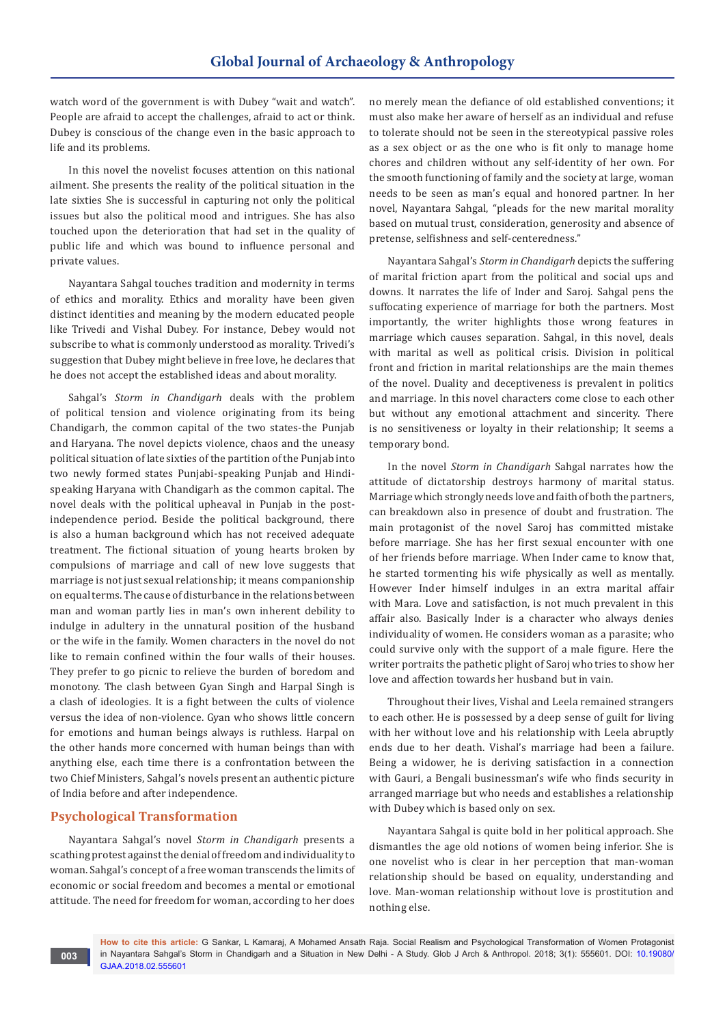watch word of the government is with Dubey "wait and watch". People are afraid to accept the challenges, afraid to act or think. Dubey is conscious of the change even in the basic approach to life and its problems.

In this novel the novelist focuses attention on this national ailment. She presents the reality of the political situation in the late sixties She is successful in capturing not only the political issues but also the political mood and intrigues. She has also touched upon the deterioration that had set in the quality of public life and which was bound to influence personal and private values.

Nayantara Sahgal touches tradition and modernity in terms of ethics and morality. Ethics and morality have been given distinct identities and meaning by the modern educated people like Trivedi and Vishal Dubey. For instance, Debey would not subscribe to what is commonly understood as morality. Trivedi's suggestion that Dubey might believe in free love, he declares that he does not accept the established ideas and about morality.

Sahgal's *Storm in Chandigarh* deals with the problem of political tension and violence originating from its being Chandigarh, the common capital of the two states-the Punjab and Haryana. The novel depicts violence, chaos and the uneasy political situation of late sixties of the partition of the Punjab into two newly formed states Punjabi-speaking Punjab and Hindispeaking Haryana with Chandigarh as the common capital. The novel deals with the political upheaval in Punjab in the postindependence period. Beside the political background, there is also a human background which has not received adequate treatment. The fictional situation of young hearts broken by compulsions of marriage and call of new love suggests that marriage is not just sexual relationship; it means companionship on equal terms. The cause of disturbance in the relations between man and woman partly lies in man's own inherent debility to indulge in adultery in the unnatural position of the husband or the wife in the family. Women characters in the novel do not like to remain confined within the four walls of their houses. They prefer to go picnic to relieve the burden of boredom and monotony. The clash between Gyan Singh and Harpal Singh is a clash of ideologies. It is a fight between the cults of violence versus the idea of non-violence. Gyan who shows little concern for emotions and human beings always is ruthless. Harpal on the other hands more concerned with human beings than with anything else, each time there is a confrontation between the two Chief Ministers, Sahgal's novels present an authentic picture of India before and after independence.

# **Psychological Transformation**

Nayantara Sahgal's novel *Storm in Chandigarh* presents a scathing protest against the denial of freedom and individuality to woman. Sahgal's concept of a free woman transcends the limits of economic or social freedom and becomes a mental or emotional attitude. The need for freedom for woman, according to her does

no merely mean the defiance of old established conventions; it must also make her aware of herself as an individual and refuse to tolerate should not be seen in the stereotypical passive roles as a sex object or as the one who is fit only to manage home chores and children without any self-identity of her own. For the smooth functioning of family and the society at large, woman needs to be seen as man's equal and honored partner. In her novel, Nayantara Sahgal, "pleads for the new marital morality based on mutual trust, consideration, generosity and absence of pretense, selfishness and self-centeredness."

Nayantara Sahgal's *Storm in Chandigarh* depicts the suffering of marital friction apart from the political and social ups and downs. It narrates the life of Inder and Saroj. Sahgal pens the suffocating experience of marriage for both the partners. Most importantly, the writer highlights those wrong features in marriage which causes separation. Sahgal, in this novel, deals with marital as well as political crisis. Division in political front and friction in marital relationships are the main themes of the novel. Duality and deceptiveness is prevalent in politics and marriage. In this novel characters come close to each other but without any emotional attachment and sincerity. There is no sensitiveness or loyalty in their relationship; It seems a temporary bond.

In the novel *Storm in Chandigarh* Sahgal narrates how the attitude of dictatorship destroys harmony of marital status. Marriage which strongly needs love and faith of both the partners, can breakdown also in presence of doubt and frustration. The main protagonist of the novel Saroj has committed mistake before marriage. She has her first sexual encounter with one of her friends before marriage. When Inder came to know that, he started tormenting his wife physically as well as mentally. However Inder himself indulges in an extra marital affair with Mara. Love and satisfaction, is not much prevalent in this affair also. Basically Inder is a character who always denies individuality of women. He considers woman as a parasite; who could survive only with the support of a male figure. Here the writer portraits the pathetic plight of Saroj who tries to show her love and affection towards her husband but in vain.

Throughout their lives, Vishal and Leela remained strangers to each other. He is possessed by a deep sense of guilt for living with her without love and his relationship with Leela abruptly ends due to her death. Vishal's marriage had been a failure. Being a widower, he is deriving satisfaction in a connection with Gauri, a Bengali businessman's wife who finds security in arranged marriage but who needs and establishes a relationship with Dubey which is based only on sex.

Nayantara Sahgal is quite bold in her political approach. She dismantles the age old notions of women being inferior. She is one novelist who is clear in her perception that man-woman relationship should be based on equality, understanding and love. Man-woman relationship without love is prostitution and nothing else.

**How to cite this article:** G Sankar, L Kamaraj, A Mohamed Ansath Raja. Social Realism and Psychological Transformation of Women Protagonist in Nayantara Sahgal's Storm in Chandigarh and a Situation in New Delhi - A Study. Glob J Arch & Anthropol. 2018; 3(1): 555601. DOI: [10.19080/](http://dx.doi.org/10.19080/GJAA.2018.03.555601) [GJAA.2018.02.555601](http://dx.doi.org/10.19080/GJAA.2018.03.555601)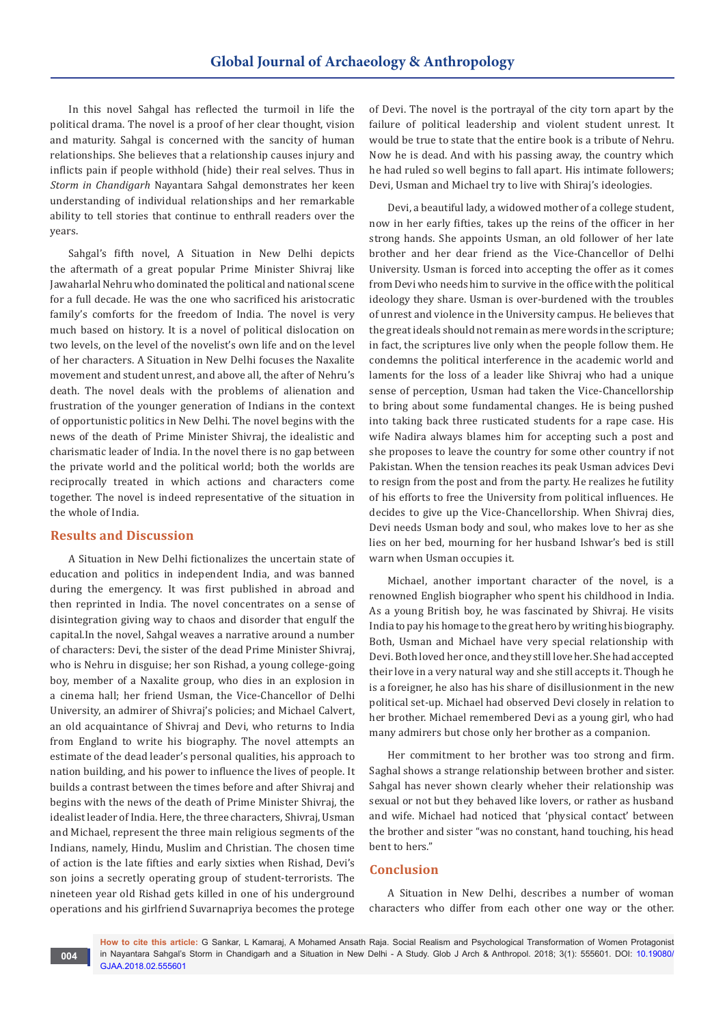In this novel Sahgal has reflected the turmoil in life the political drama. The novel is a proof of her clear thought, vision and maturity. Sahgal is concerned with the sancity of human relationships. She believes that a relationship causes injury and inflicts pain if people withhold (hide) their real selves. Thus in *Storm in Chandigarh* Nayantara Sahgal demonstrates her keen understanding of individual relationships and her remarkable ability to tell stories that continue to enthrall readers over the years.

Sahgal's fifth novel, A Situation in New Delhi depicts the aftermath of a great popular Prime Minister Shivraj like Jawaharlal Nehru who dominated the political and national scene for a full decade. He was the one who sacrificed his aristocratic family's comforts for the freedom of India. The novel is very much based on history. It is a novel of political dislocation on two levels, on the level of the novelist's own life and on the level of her characters. A Situation in New Delhi focuses the Naxalite movement and student unrest, and above all, the after of Nehru's death. The novel deals with the problems of alienation and frustration of the younger generation of Indians in the context of opportunistic politics in New Delhi. The novel begins with the news of the death of Prime Minister Shivraj, the idealistic and charismatic leader of India. In the novel there is no gap between the private world and the political world; both the worlds are reciprocally treated in which actions and characters come together. The novel is indeed representative of the situation in the whole of India.

# **Results and Discussion**

**004**

A Situation in New Delhi fictionalizes the uncertain state of education and politics in independent India, and was banned during the emergency. It was first published in abroad and then reprinted in India. The novel concentrates on a sense of disintegration giving way to chaos and disorder that engulf the capital.In the novel, Sahgal weaves a narrative around a number of characters: Devi, the sister of the dead Prime Minister Shivraj, who is Nehru in disguise; her son Rishad, a young college-going boy, member of a Naxalite group, who dies in an explosion in a cinema hall; her friend Usman, the Vice-Chancellor of Delhi University, an admirer of Shivraj's policies; and Michael Calvert, an old acquaintance of Shivraj and Devi, who returns to India from England to write his biography. The novel attempts an estimate of the dead leader's personal qualities, his approach to nation building, and his power to influence the lives of people. It builds a contrast between the times before and after Shivraj and begins with the news of the death of Prime Minister Shivraj, the idealist leader of India. Here, the three characters, Shivraj, Usman and Michael, represent the three main religious segments of the Indians, namely, Hindu, Muslim and Christian. The chosen time of action is the late fifties and early sixties when Rishad, Devi's son joins a secretly operating group of student-terrorists. The nineteen year old Rishad gets killed in one of his underground operations and his girlfriend Suvarnapriya becomes the protege

of Devi. The novel is the portrayal of the city torn apart by the failure of political leadership and violent student unrest. It would be true to state that the entire book is a tribute of Nehru. Now he is dead. And with his passing away, the country which he had ruled so well begins to fall apart. His intimate followers; Devi, Usman and Michael try to live with Shiraj's ideologies.

Devi, a beautiful lady, a widowed mother of a college student, now in her early fifties, takes up the reins of the officer in her strong hands. She appoints Usman, an old follower of her late brother and her dear friend as the Vice-Chancellor of Delhi University. Usman is forced into accepting the offer as it comes from Devi who needs him to survive in the office with the political ideology they share. Usman is over-burdened with the troubles of unrest and violence in the University campus. He believes that the great ideals should not remain as mere words in the scripture; in fact, the scriptures live only when the people follow them. He condemns the political interference in the academic world and laments for the loss of a leader like Shivraj who had a unique sense of perception, Usman had taken the Vice-Chancellorship to bring about some fundamental changes. He is being pushed into taking back three rusticated students for a rape case. His wife Nadira always blames him for accepting such a post and she proposes to leave the country for some other country if not Pakistan. When the tension reaches its peak Usman advices Devi to resign from the post and from the party. He realizes he futility of his efforts to free the University from political influences. He decides to give up the Vice-Chancellorship. When Shivraj dies, Devi needs Usman body and soul, who makes love to her as she lies on her bed, mourning for her husband Ishwar's bed is still warn when Usman occupies it.

Michael, another important character of the novel, is a renowned English biographer who spent his childhood in India. As a young British boy, he was fascinated by Shivraj. He visits India to pay his homage to the great hero by writing his biography. Both, Usman and Michael have very special relationship with Devi. Both loved her once, and they still love her. She had accepted their love in a very natural way and she still accepts it. Though he is a foreigner, he also has his share of disillusionment in the new political set-up. Michael had observed Devi closely in relation to her brother. Michael remembered Devi as a young girl, who had many admirers but chose only her brother as a companion.

Her commitment to her brother was too strong and firm. Saghal shows a strange relationship between brother and sister. Sahgal has never shown clearly wheher their relationship was sexual or not but they behaved like lovers, or rather as husband and wife. Michael had noticed that 'physical contact' between the brother and sister "was no constant, hand touching, his head bent to hers."

# **Conclusion**

A Situation in New Delhi, describes a number of woman characters who differ from each other one way or the other.